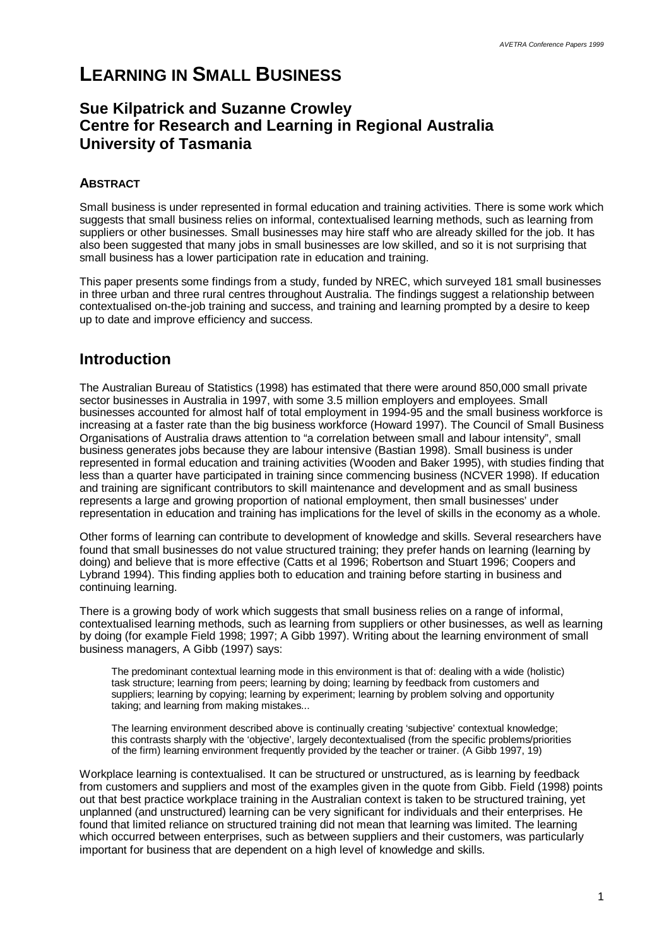# **LEARNING IN SMALL BUSINESS**

# **Sue Kilpatrick and Suzanne Crowley Centre for Research and Learning in Regional Australia University of Tasmania**

## **ABSTRACT**

Small business is under represented in formal education and training activities. There is some work which suggests that small business relies on informal, contextualised learning methods, such as learning from suppliers or other businesses. Small businesses may hire staff who are already skilled for the job. It has also been suggested that many jobs in small businesses are low skilled, and so it is not surprising that small business has a lower participation rate in education and training.

This paper presents some findings from a study, funded by NREC, which surveyed 181 small businesses in three urban and three rural centres throughout Australia. The findings suggest a relationship between contextualised on-the-job training and success, and training and learning prompted by a desire to keep up to date and improve efficiency and success.

# **Introduction**

The Australian Bureau of Statistics (1998) has estimated that there were around 850,000 small private sector businesses in Australia in 1997, with some 3.5 million employers and employees. Small businesses accounted for almost half of total employment in 1994-95 and the small business workforce is increasing at a faster rate than the big business workforce (Howard 1997). The Council of Small Business Organisations of Australia draws attention to "a correlation between small and labour intensity", small business generates jobs because they are labour intensive (Bastian 1998). Small business is under represented in formal education and training activities (Wooden and Baker 1995), with studies finding that less than a quarter have participated in training since commencing business (NCVER 1998). If education and training are significant contributors to skill maintenance and development and as small business represents a large and growing proportion of national employment, then small businesses' under representation in education and training has implications for the level of skills in the economy as a whole.

Other forms of learning can contribute to development of knowledge and skills. Several researchers have found that small businesses do not value structured training; they prefer hands on learning (learning by doing) and believe that is more effective (Catts et al 1996; Robertson and Stuart 1996; Coopers and Lybrand 1994). This finding applies both to education and training before starting in business and continuing learning.

There is a growing body of work which suggests that small business relies on a range of informal, contextualised learning methods, such as learning from suppliers or other businesses, as well as learning by doing (for example Field 1998; 1997; A Gibb 1997). Writing about the learning environment of small business managers, A Gibb (1997) says:

The predominant contextual learning mode in this environment is that of: dealing with a wide (holistic) task structure; learning from peers; learning by doing; learning by feedback from customers and suppliers; learning by copying; learning by experiment; learning by problem solving and opportunity taking; and learning from making mistakes...

The learning environment described above is continually creating 'subjective' contextual knowledge; this contrasts sharply with the 'objective', largely decontextualised (from the specific problems/priorities of the firm) learning environment frequently provided by the teacher or trainer. (A Gibb 1997, 19)

Workplace learning is contextualised. It can be structured or unstructured, as is learning by feedback from customers and suppliers and most of the examples given in the quote from Gibb. Field (1998) points out that best practice workplace training in the Australian context is taken to be structured training, yet unplanned (and unstructured) learning can be very significant for individuals and their enterprises. He found that limited reliance on structured training did not mean that learning was limited. The learning which occurred between enterprises, such as between suppliers and their customers, was particularly important for business that are dependent on a high level of knowledge and skills.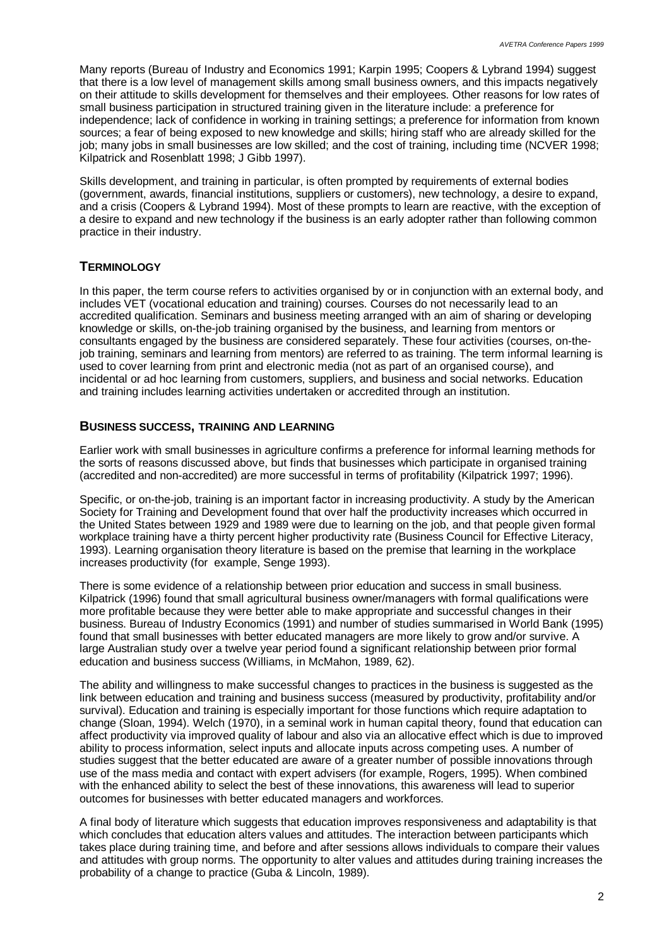Many reports (Bureau of Industry and Economics 1991; Karpin 1995; Coopers & Lybrand 1994) suggest that there is a low level of management skills among small business owners, and this impacts negatively on their attitude to skills development for themselves and their employees. Other reasons for low rates of small business participation in structured training given in the literature include: a preference for independence; lack of confidence in working in training settings; a preference for information from known sources; a fear of being exposed to new knowledge and skills; hiring staff who are already skilled for the job; many jobs in small businesses are low skilled; and the cost of training, including time (NCVER 1998; Kilpatrick and Rosenblatt 1998; J Gibb 1997).

Skills development, and training in particular, is often prompted by requirements of external bodies (government, awards, financial institutions, suppliers or customers), new technology, a desire to expand, and a crisis (Coopers & Lybrand 1994). Most of these prompts to learn are reactive, with the exception of a desire to expand and new technology if the business is an early adopter rather than following common practice in their industry.

### **TERMINOLOGY**

In this paper, the term course refers to activities organised by or in conjunction with an external body, and includes VET (vocational education and training) courses. Courses do not necessarily lead to an accredited qualification. Seminars and business meeting arranged with an aim of sharing or developing knowledge or skills, on-the-job training organised by the business, and learning from mentors or consultants engaged by the business are considered separately. These four activities (courses, on-thejob training, seminars and learning from mentors) are referred to as training. The term informal learning is used to cover learning from print and electronic media (not as part of an organised course), and incidental or ad hoc learning from customers, suppliers, and business and social networks. Education and training includes learning activities undertaken or accredited through an institution.

### **BUSINESS SUCCESS, TRAINING AND LEARNING**

Earlier work with small businesses in agriculture confirms a preference for informal learning methods for the sorts of reasons discussed above, but finds that businesses which participate in organised training (accredited and non-accredited) are more successful in terms of profitability (Kilpatrick 1997; 1996).

Specific, or on-the-job, training is an important factor in increasing productivity. A study by the American Society for Training and Development found that over half the productivity increases which occurred in the United States between 1929 and 1989 were due to learning on the job, and that people given formal workplace training have a thirty percent higher productivity rate (Business Council for Effective Literacy, 1993). Learning organisation theory literature is based on the premise that learning in the workplace increases productivity (for example, Senge 1993).

There is some evidence of a relationship between prior education and success in small business. Kilpatrick (1996) found that small agricultural business owner/managers with formal qualifications were more profitable because they were better able to make appropriate and successful changes in their business. Bureau of Industry Economics (1991) and number of studies summarised in World Bank (1995) found that small businesses with better educated managers are more likely to grow and/or survive. A large Australian study over a twelve year period found a significant relationship between prior formal education and business success (Williams, in McMahon, 1989, 62).

The ability and willingness to make successful changes to practices in the business is suggested as the link between education and training and business success (measured by productivity, profitability and/or survival). Education and training is especially important for those functions which require adaptation to change (Sloan, 1994). Welch (1970), in a seminal work in human capital theory, found that education can affect productivity via improved quality of labour and also via an allocative effect which is due to improved ability to process information, select inputs and allocate inputs across competing uses. A number of studies suggest that the better educated are aware of a greater number of possible innovations through use of the mass media and contact with expert advisers (for example, Rogers, 1995). When combined with the enhanced ability to select the best of these innovations, this awareness will lead to superior outcomes for businesses with better educated managers and workforces.

A final body of literature which suggests that education improves responsiveness and adaptability is that which concludes that education alters values and attitudes. The interaction between participants which takes place during training time, and before and after sessions allows individuals to compare their values and attitudes with group norms. The opportunity to alter values and attitudes during training increases the probability of a change to practice (Guba & Lincoln, 1989).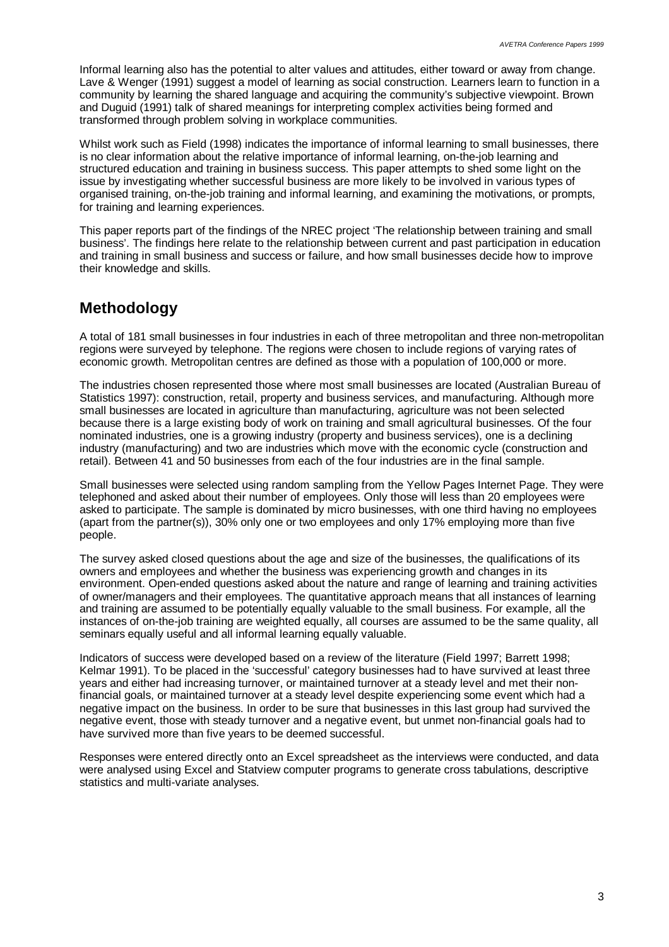Informal learning also has the potential to alter values and attitudes, either toward or away from change. Lave & Wenger (1991) suggest a model of learning as social construction. Learners learn to function in a community by learning the shared language and acquiring the community's subjective viewpoint. Brown and Duguid (1991) talk of shared meanings for interpreting complex activities being formed and transformed through problem solving in workplace communities.

Whilst work such as Field (1998) indicates the importance of informal learning to small businesses, there is no clear information about the relative importance of informal learning, on-the-job learning and structured education and training in business success. This paper attempts to shed some light on the issue by investigating whether successful business are more likely to be involved in various types of organised training, on-the-job training and informal learning, and examining the motivations, or prompts, for training and learning experiences.

This paper reports part of the findings of the NREC project 'The relationship between training and small business'. The findings here relate to the relationship between current and past participation in education and training in small business and success or failure, and how small businesses decide how to improve their knowledge and skills.

# **Methodology**

A total of 181 small businesses in four industries in each of three metropolitan and three non-metropolitan regions were surveyed by telephone. The regions were chosen to include regions of varying rates of economic growth. Metropolitan centres are defined as those with a population of 100,000 or more.

The industries chosen represented those where most small businesses are located (Australian Bureau of Statistics 1997): construction, retail, property and business services, and manufacturing. Although more small businesses are located in agriculture than manufacturing, agriculture was not been selected because there is a large existing body of work on training and small agricultural businesses. Of the four nominated industries, one is a growing industry (property and business services), one is a declining industry (manufacturing) and two are industries which move with the economic cycle (construction and retail). Between 41 and 50 businesses from each of the four industries are in the final sample.

Small businesses were selected using random sampling from the Yellow Pages Internet Page. They were telephoned and asked about their number of employees. Only those will less than 20 employees were asked to participate. The sample is dominated by micro businesses, with one third having no employees (apart from the partner(s)), 30% only one or two employees and only 17% employing more than five people.

The survey asked closed questions about the age and size of the businesses, the qualifications of its owners and employees and whether the business was experiencing growth and changes in its environment. Open-ended questions asked about the nature and range of learning and training activities of owner/managers and their employees. The quantitative approach means that all instances of learning and training are assumed to be potentially equally valuable to the small business. For example, all the instances of on-the-job training are weighted equally, all courses are assumed to be the same quality, all seminars equally useful and all informal learning equally valuable.

Indicators of success were developed based on a review of the literature (Field 1997; Barrett 1998; Kelmar 1991). To be placed in the 'successful' category businesses had to have survived at least three years and either had increasing turnover, or maintained turnover at a steady level and met their nonfinancial goals, or maintained turnover at a steady level despite experiencing some event which had a negative impact on the business. In order to be sure that businesses in this last group had survived the negative event, those with steady turnover and a negative event, but unmet non-financial goals had to have survived more than five years to be deemed successful.

Responses were entered directly onto an Excel spreadsheet as the interviews were conducted, and data were analysed using Excel and Statview computer programs to generate cross tabulations, descriptive statistics and multi-variate analyses.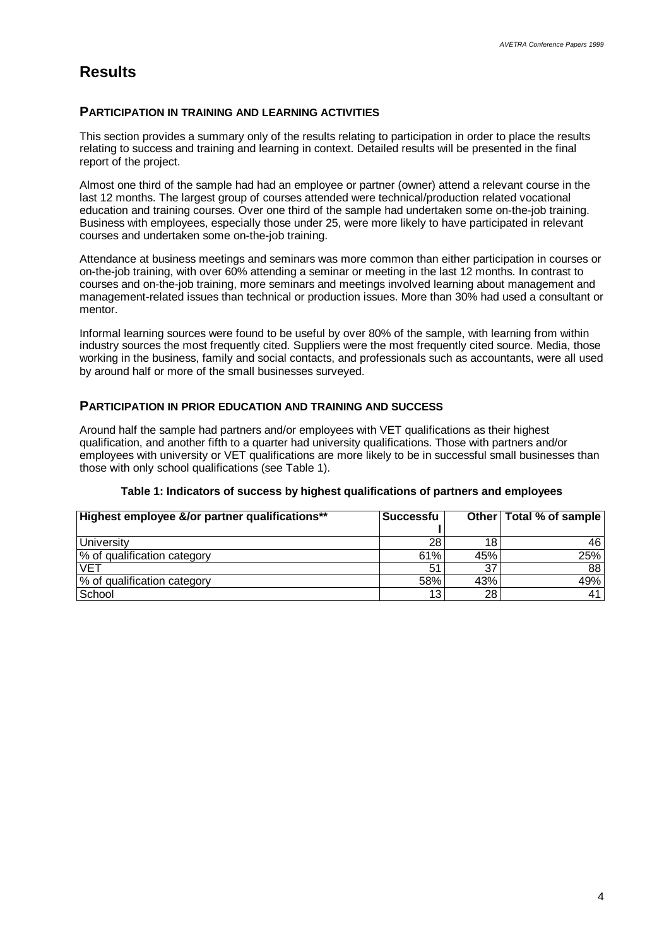# **Results**

### **PARTICIPATION IN TRAINING AND LEARNING ACTIVITIES**

This section provides a summary only of the results relating to participation in order to place the results relating to success and training and learning in context. Detailed results will be presented in the final report of the project.

Almost one third of the sample had had an employee or partner (owner) attend a relevant course in the last 12 months. The largest group of courses attended were technical/production related vocational education and training courses. Over one third of the sample had undertaken some on-the-job training. Business with employees, especially those under 25, were more likely to have participated in relevant courses and undertaken some on-the-job training.

Attendance at business meetings and seminars was more common than either participation in courses or on-the-job training, with over 60% attending a seminar or meeting in the last 12 months. In contrast to courses and on-the-job training, more seminars and meetings involved learning about management and management-related issues than technical or production issues. More than 30% had used a consultant or mentor.

Informal learning sources were found to be useful by over 80% of the sample, with learning from within industry sources the most frequently cited. Suppliers were the most frequently cited source. Media, those working in the business, family and social contacts, and professionals such as accountants, were all used by around half or more of the small businesses surveyed.

#### **PARTICIPATION IN PRIOR EDUCATION AND TRAINING AND SUCCESS**

Around half the sample had partners and/or employees with VET qualifications as their highest qualification, and another fifth to a quarter had university qualifications. Those with partners and/or employees with university or VET qualifications are more likely to be in successful small businesses than those with only school qualifications (see Table 1).

| Highest employee &/or partner qualifications** | Successfu       |     | Other   Total % of sample |
|------------------------------------------------|-----------------|-----|---------------------------|
|                                                |                 |     |                           |
| University                                     | 28              | 18  | 46'                       |
| % of qualification category                    | 61%             | 45% | 25%                       |
| VET                                            | 51              | 37  | 88                        |
| % of qualification category                    | 58%             | 43% | 49%                       |
| School                                         | 13 <sub>1</sub> | 28  | 41                        |

#### **Table 1: Indicators of success by highest qualifications of partners and employees**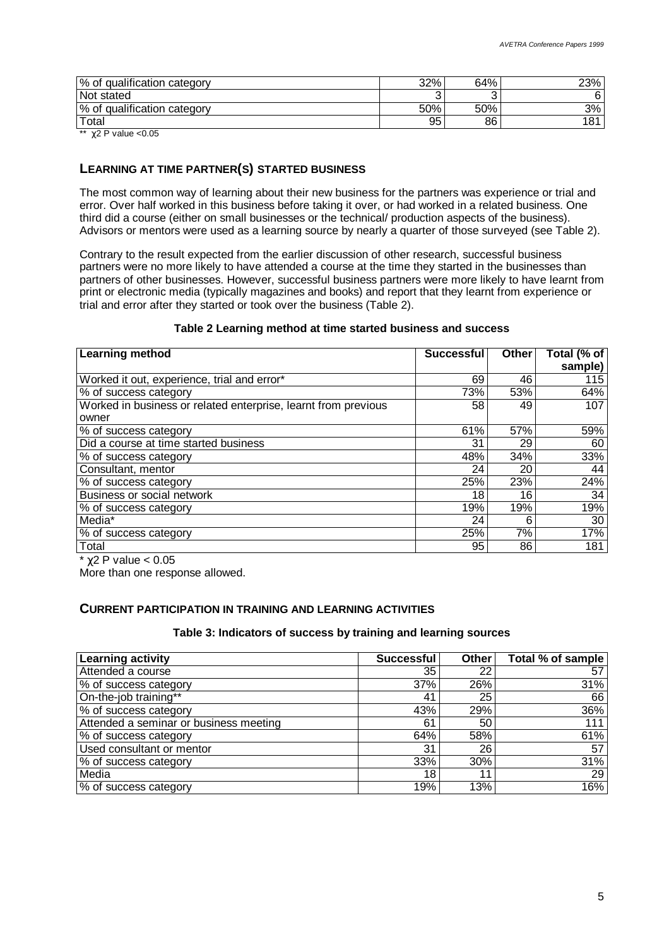| % of qualification category | 32% | 64% | 23% |
|-----------------------------|-----|-----|-----|
| Not stated                  |     |     | 6   |
| % of qualification category | 50% | 50% | 3%  |
| Total                       | 95  | 86  | 181 |

\*\*  $\gamma$ 2 P value < 0.05

### **LEARNING AT TIME PARTNER(S) STARTED BUSINESS**

The most common way of learning about their new business for the partners was experience or trial and error. Over half worked in this business before taking it over, or had worked in a related business. One third did a course (either on small businesses or the technical/ production aspects of the business). Advisors or mentors were used as a learning source by nearly a quarter of those surveyed (see Table 2).

Contrary to the result expected from the earlier discussion of other research, successful business partners were no more likely to have attended a course at the time they started in the businesses than partners of other businesses. However, successful business partners were more likely to have learnt from print or electronic media (typically magazines and books) and report that they learnt from experience or trial and error after they started or took over the business (Table 2).

#### **Table 2 Learning method at time started business and success**

| Learning method                                                | <b>Successful</b> | <b>Other</b> | Total (% of<br>sample) |
|----------------------------------------------------------------|-------------------|--------------|------------------------|
| Worked it out, experience, trial and error*                    | 69                | 46           | 115                    |
| % of success category                                          | 73%               | 53%          | 64%                    |
| Worked in business or related enterprise, learnt from previous | 58                | 49           | 107                    |
| owner                                                          |                   |              |                        |
| % of success category                                          | 61%               | 57%          | 59%                    |
| Did a course at time started business                          | 31                | 29           | 60                     |
| % of success category                                          | 48%               | 34%          | 33%                    |
| Consultant, mentor                                             | 24                | 20           | 44                     |
| % of success category                                          | 25%               | 23%          | 24%                    |
| Business or social network                                     | 18                | 16           | 34                     |
| % of success category                                          | 19%               | 19%          | 19%                    |
| Media*                                                         | 24                | 6            | 30                     |
| % of success category                                          | 25%               | 7%           | 17%                    |
| Total<br>$\sim$ $\sim$ $\sim$                                  | 95                | 86           | 181                    |

 $*$  γ2 P value < 0.05

More than one response allowed.

#### **CURRENT PARTICIPATION IN TRAINING AND LEARNING ACTIVITIES**

#### **Table 3: Indicators of success by training and learning sources**

| Learning activity                      | <b>Successful</b> | <b>Other</b> | Total % of sample |
|----------------------------------------|-------------------|--------------|-------------------|
| Attended a course                      | 35                | 22           | 57                |
| % of success category                  | 37%               | 26%          | 31%               |
| On-the-job training**                  | 41                | 25           | 66                |
| % of success category                  | 43%               | 29%          | 36%               |
| Attended a seminar or business meeting | 61                | 50           | 111               |
| % of success category                  | 64%               | 58%          | 61%               |
| Used consultant or mentor              | 31                | 26           | 57                |
| % of success category                  | 33%               | 30%          | 31%               |
| Media                                  | 18                | 11           | 29                |
| % of success category                  | 19%               | 13%          | 16%               |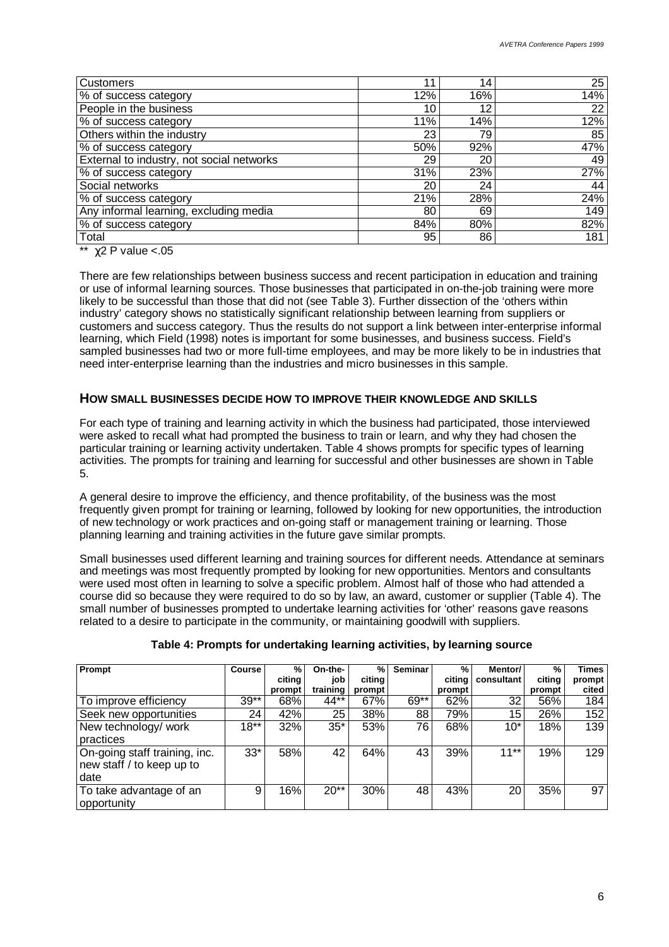| Customers                                 | 11  | 14. | 25  |
|-------------------------------------------|-----|-----|-----|
| % of success category                     | 12% | 16% | 14% |
| People in the business                    | 10  | 12  | 22  |
| % of success category                     | 11% | 14% | 12% |
| Others within the industry                | 23  | 79  | 85  |
| % of success category                     | 50% | 92% | 47% |
| External to industry, not social networks | 29  | 20  | 49  |
| % of success category                     | 31% | 23% | 27% |
| Social networks                           | 20  | 24  | 44  |
| % of success category                     | 21% | 28% | 24% |
| Any informal learning, excluding media    | 80  | 69  | 149 |
| % of success category                     | 84% | 80% | 82% |
| Total                                     | 95  | 86  | 181 |

\*\*  $\gamma$ 2 P value <.05

There are few relationships between business success and recent participation in education and training or use of informal learning sources. Those businesses that participated in on-the-job training were more likely to be successful than those that did not (see Table 3). Further dissection of the 'others within industry' category shows no statistically significant relationship between learning from suppliers or customers and success category. Thus the results do not support a link between inter-enterprise informal learning, which Field (1998) notes is important for some businesses, and business success. Field's sampled businesses had two or more full-time employees, and may be more likely to be in industries that need inter-enterprise learning than the industries and micro businesses in this sample.

### **HOW SMALL BUSINESSES DECIDE HOW TO IMPROVE THEIR KNOWLEDGE AND SKILLS**

For each type of training and learning activity in which the business had participated, those interviewed were asked to recall what had prompted the business to train or learn, and why they had chosen the particular training or learning activity undertaken. Table 4 shows prompts for specific types of learning activities. The prompts for training and learning for successful and other businesses are shown in Table 5.

A general desire to improve the efficiency, and thence profitability, of the business was the most frequently given prompt for training or learning, followed by looking for new opportunities, the introduction of new technology or work practices and on-going staff or management training or learning. Those planning learning and training activities in the future gave similar prompts.

Small businesses used different learning and training sources for different needs. Attendance at seminars and meetings was most frequently prompted by looking for new opportunities. Mentors and consultants were used most often in learning to solve a specific problem. Almost half of those who had attended a course did so because they were required to do so by law, an award, customer or supplier (Table 4). The small number of businesses prompted to undertake learning activities for 'other' reasons gave reasons related to a desire to participate in the community, or maintaining goodwill with suppliers.

| Prompt                        | Course | %      | On-the-  | %      | <b>Seminar</b> | %      | Mentor/         | %      | Times  |
|-------------------------------|--------|--------|----------|--------|----------------|--------|-----------------|--------|--------|
|                               |        | citing | job      | citing |                | citing | consultant      | citing | prompt |
|                               |        | prompt | training | prompt |                | prompt |                 | prompt | cited  |
| To improve efficiency         | $39**$ | 68%    | 44**     | 67%    | 69**           | 62%    | 32              | 56%    | 184    |
| Seek new opportunities        | 24     | 42%    | 25       | 38%    | 88             | 79%    | 15              | 26%    | 152    |
| New technology/ work          | $18**$ | 32%    | $35*$    | 53%    | 76             | 68%    | $10^*$          | 18%    | 139    |
| practices                     |        |        |          |        |                |        |                 |        |        |
| On-going staff training, inc. | $33*$  | 58%    | 42       | 64%    | 43             | 39%    | $11***$         | 19%    | 129    |
| new staff / to keep up to     |        |        |          |        |                |        |                 |        |        |
| date                          |        |        |          |        |                |        |                 |        |        |
| To take advantage of an       | 9      | 16%    | $20**$   | 30%    | 48             | 43%    | 20 <sub>1</sub> | 35%    | 97     |
| opportunity                   |        |        |          |        |                |        |                 |        |        |

#### **Table 4: Prompts for undertaking learning activities, by learning source**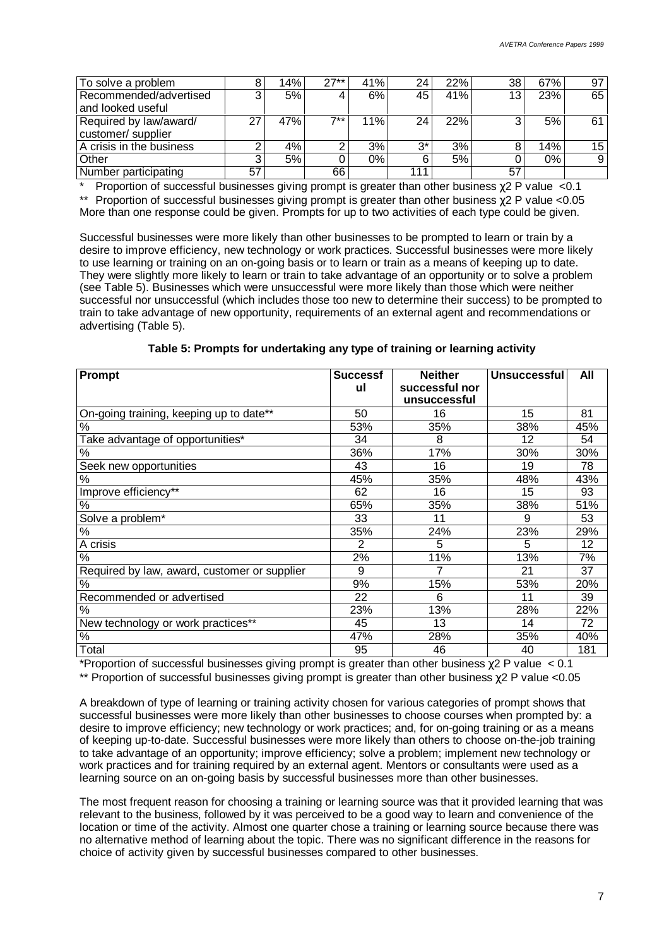| To solve a problem       |    | 14% | $27**$ | 41% | 24    | 22% | 38 | 67%   | 97 |
|--------------------------|----|-----|--------|-----|-------|-----|----|-------|----|
| Recommended/advertised   | 3  | 5%  |        | 6%  | 45    | 41% | 13 | 23%   | 65 |
| and looked useful        |    |     |        |     |       |     |    |       |    |
| Required by law/award/   | 27 | 47% | $7**$  | 11% | 24    | 22% | 3  | 5%    | 61 |
| customer/ supplier       |    |     |        |     |       |     |    |       |    |
| A crisis in the business |    | 4%  |        | 3%  | $3^*$ | 3%  |    | 14%   | 15 |
| Other                    |    | 5%  |        | 0%  |       | 5%  |    | $0\%$ | 9  |
| Number participating     | 57 |     | 66     |     | 111   |     | 57 |       |    |

\* Proportion of successful businesses giving prompt is greater than other business  $\gamma$ 2 P value <0.1 \*\* Proportion of successful businesses giving prompt is greater than other business χ2 P value <0.05 More than one response could be given. Prompts for up to two activities of each type could be given.

Successful businesses were more likely than other businesses to be prompted to learn or train by a desire to improve efficiency, new technology or work practices. Successful businesses were more likely to use learning or training on an on-going basis or to learn or train as a means of keeping up to date. They were slightly more likely to learn or train to take advantage of an opportunity or to solve a problem (see Table 5). Businesses which were unsuccessful were more likely than those which were neither successful nor unsuccessful (which includes those too new to determine their success) to be prompted to train to take advantage of new opportunity, requirements of an external agent and recommendations or advertising (Table 5).

| Prompt                                       | <b>Successf</b> | <b>Neither</b> | <b>Unsuccessful</b> | All |
|----------------------------------------------|-----------------|----------------|---------------------|-----|
|                                              | ul              | successful nor |                     |     |
|                                              |                 | unsuccessful   |                     |     |
| On-going training, keeping up to date**      | 50              | 16             | 15                  | 81  |
| %                                            | 53%             | 35%            | 38%                 | 45% |
| Take advantage of opportunities*             | 34              | 8              | 12                  | 54  |
| %                                            | 36%             | 17%            | 30%                 | 30% |
| Seek new opportunities                       | 43              | 16             | 19                  | 78  |
| %                                            | 45%             | 35%            | 48%                 | 43% |
| Improve efficiency**                         | 62              | 16             | 15                  | 93  |
| %                                            | 65%             | 35%            | 38%                 | 51% |
| Solve a problem*                             | 33              | 11             | 9                   | 53  |
| $\%$                                         | 35%             | 24%            | 23%                 | 29% |
| A crisis                                     | 2               | 5              | 5                   | 12  |
| %                                            | 2%              | 11%            | 13%                 | 7%  |
| Required by law, award, customer or supplier | 9               | 7              | 21                  | 37  |
| %                                            | 9%              | 15%            | 53%                 | 20% |
| Recommended or advertised                    | 22              | 6              | 11                  | 39  |
| %                                            | 23%             | 13%            | 28%                 | 22% |
| New technology or work practices**           | 45              | 13             | 14                  | 72  |
| $\%$                                         | 47%             | 28%            | 35%                 | 40% |
| Total                                        | 95              | 46             | 40                  | 181 |

**Table 5: Prompts for undertaking any type of training or learning activity**

\*Proportion of successful businesses giving prompt is greater than other business  $\chi$ 2 P value < 0.1

\*\* Proportion of successful businesses giving prompt is greater than other business χ2 P value <0.05

A breakdown of type of learning or training activity chosen for various categories of prompt shows that successful businesses were more likely than other businesses to choose courses when prompted by: a desire to improve efficiency; new technology or work practices; and, for on-going training or as a means of keeping up-to-date. Successful businesses were more likely than others to choose on-the-job training to take advantage of an opportunity; improve efficiency; solve a problem; implement new technology or work practices and for training required by an external agent. Mentors or consultants were used as a learning source on an on-going basis by successful businesses more than other businesses.

The most frequent reason for choosing a training or learning source was that it provided learning that was relevant to the business, followed by it was perceived to be a good way to learn and convenience of the location or time of the activity. Almost one quarter chose a training or learning source because there was no alternative method of learning about the topic. There was no significant difference in the reasons for choice of activity given by successful businesses compared to other businesses.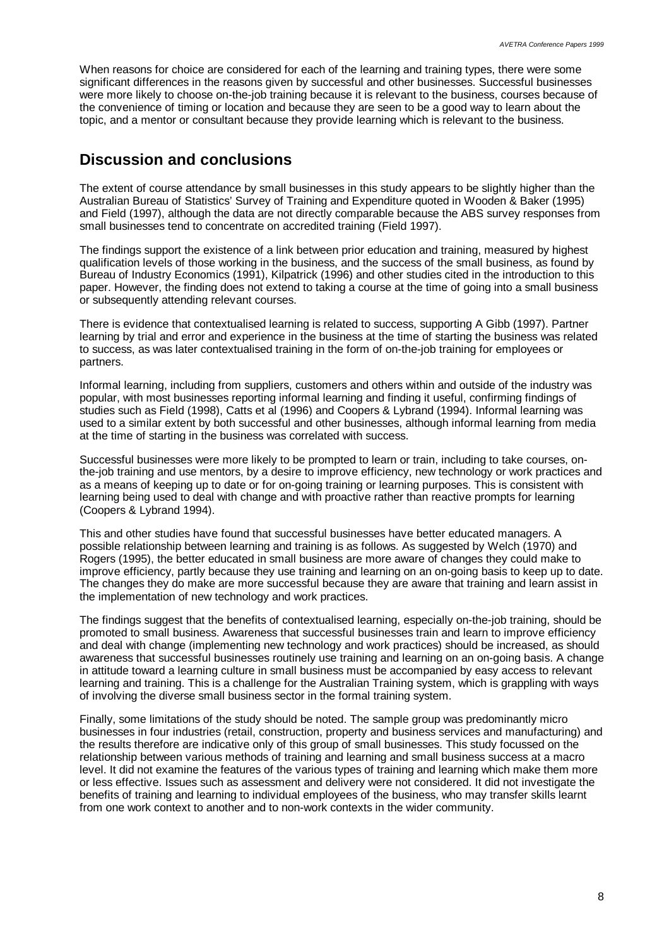When reasons for choice are considered for each of the learning and training types, there were some significant differences in the reasons given by successful and other businesses. Successful businesses were more likely to choose on-the-job training because it is relevant to the business, courses because of the convenience of timing or location and because they are seen to be a good way to learn about the topic, and a mentor or consultant because they provide learning which is relevant to the business.

# **Discussion and conclusions**

The extent of course attendance by small businesses in this study appears to be slightly higher than the Australian Bureau of Statistics' Survey of Training and Expenditure quoted in Wooden & Baker (1995) and Field (1997), although the data are not directly comparable because the ABS survey responses from small businesses tend to concentrate on accredited training (Field 1997).

The findings support the existence of a link between prior education and training, measured by highest qualification levels of those working in the business, and the success of the small business, as found by Bureau of Industry Economics (1991), Kilpatrick (1996) and other studies cited in the introduction to this paper. However, the finding does not extend to taking a course at the time of going into a small business or subsequently attending relevant courses.

There is evidence that contextualised learning is related to success, supporting A Gibb (1997). Partner learning by trial and error and experience in the business at the time of starting the business was related to success, as was later contextualised training in the form of on-the-job training for employees or partners.

Informal learning, including from suppliers, customers and others within and outside of the industry was popular, with most businesses reporting informal learning and finding it useful, confirming findings of studies such as Field (1998), Catts et al (1996) and Coopers & Lybrand (1994). Informal learning was used to a similar extent by both successful and other businesses, although informal learning from media at the time of starting in the business was correlated with success.

Successful businesses were more likely to be prompted to learn or train, including to take courses, onthe-job training and use mentors, by a desire to improve efficiency, new technology or work practices and as a means of keeping up to date or for on-going training or learning purposes. This is consistent with learning being used to deal with change and with proactive rather than reactive prompts for learning (Coopers & Lybrand 1994).

This and other studies have found that successful businesses have better educated managers. A possible relationship between learning and training is as follows. As suggested by Welch (1970) and Rogers (1995), the better educated in small business are more aware of changes they could make to improve efficiency, partly because they use training and learning on an on-going basis to keep up to date. The changes they do make are more successful because they are aware that training and learn assist in the implementation of new technology and work practices.

The findings suggest that the benefits of contextualised learning, especially on-the-job training, should be promoted to small business. Awareness that successful businesses train and learn to improve efficiency and deal with change (implementing new technology and work practices) should be increased, as should awareness that successful businesses routinely use training and learning on an on-going basis. A change in attitude toward a learning culture in small business must be accompanied by easy access to relevant learning and training. This is a challenge for the Australian Training system, which is grappling with ways of involving the diverse small business sector in the formal training system.

Finally, some limitations of the study should be noted. The sample group was predominantly micro businesses in four industries (retail, construction, property and business services and manufacturing) and the results therefore are indicative only of this group of small businesses. This study focussed on the relationship between various methods of training and learning and small business success at a macro level. It did not examine the features of the various types of training and learning which make them more or less effective. Issues such as assessment and delivery were not considered. It did not investigate the benefits of training and learning to individual employees of the business, who may transfer skills learnt from one work context to another and to non-work contexts in the wider community.